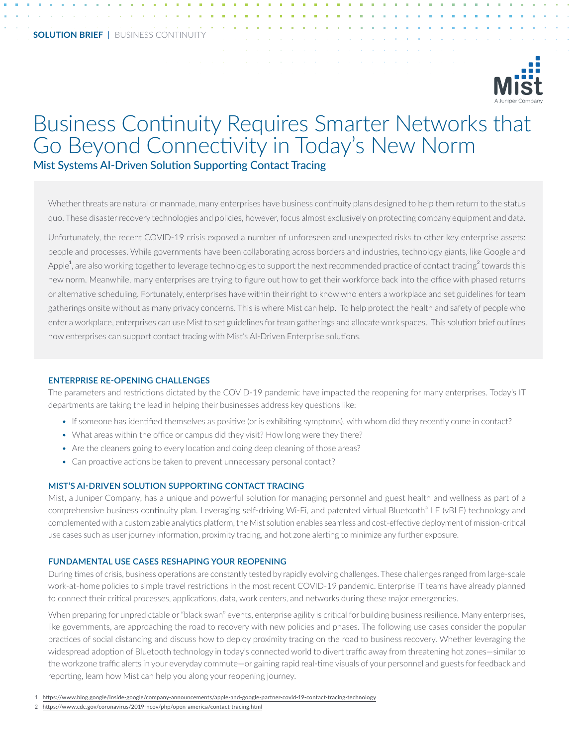

# Business Continuity Requires Smarter Networks that Go Beyond Connectivity in Today's New Norm Mist Systems AI-Driven Solution Supporting Contact Tracing

Whether threats are natural or manmade, many enterprises have business continuity plans designed to help them return to the status quo. These disaster recovery technologies and policies, however, focus almost exclusively on protecting company equipment and data.

Unfortunately, the recent COVID-19 crisis exposed a number of unforeseen and unexpected risks to other key enterprise assets: people and processes. While governments have been collaborating across borders and industries, technology giants, like Google and Apple $^1$ , are also working together to leverage technologies to support the next recommended practice of contact tracing $^2$  towards this new norm. Meanwhile, many enterprises are trying to figure out how to get their workforce back into the office with phased returns or alternative scheduling. Fortunately, enterprises have within their right to know who enters a workplace and set guidelines for team gatherings onsite without as many privacy concerns. This is where Mist can help. To help protect the health and safety of people who enter a workplace, enterprises can use Mist to set guidelines for team gatherings and allocate work spaces. This solution brief outlines how enterprises can support contact tracing with Mist's AI-Driven Enterprise solutions.

#### **ENTERPRISE RE-OPENING CHALLENGES**

The parameters and restrictions dictated by the COVID-19 pandemic have impacted the reopening for many enterprises. Today's IT departments are taking the lead in helping their businesses address key questions like:

- If someone has identified themselves as positive (or is exhibiting symptoms), with whom did they recently come in contact?
- What areas within the office or campus did they visit? How long were they there?
- Are the cleaners going to every location and doing deep cleaning of those areas?
- Can proactive actions be taken to prevent unnecessary personal contact?

## **MIST'S AI-DRIVEN SOLUTION SUPPORTING CONTACT TRACING**

Mist, a Juniper Company, has a unique and powerful solution for managing personnel and guest health and wellness as part of a comprehensive business continuity plan. Leveraging self-driving Wi-Fi, and patented virtual Bluetooth® LE (vBLE) technology and complemented with a customizable analytics platform, the Mist solution enables seamless and cost-effective deployment of mission-critical use cases such as user journey information, proximity tracing, and hot zone alerting to minimize any further exposure.

#### **FUNDAMENTAL USE CASES RESHAPING YOUR REOPENING**

During times of crisis, business operations are constantly tested by rapidly evolving challenges. These challenges ranged from large-scale work-at-home policies to simple travel restrictions in the most recent COVID-19 pandemic. Enterprise IT teams have already planned to connect their critical processes, applications, data, work centers, and networks during these major emergencies.

When preparing for unpredictable or "black swan" events, enterprise agility is critical for building business resilience. Many enterprises, like governments, are approaching the road to recovery with new policies and phases. The following use cases consider the popular practices of social distancing and discuss how to deploy proximity tracing on the road to business recovery. Whether leveraging the widespread adoption of Bluetooth technology in today's connected world to divert traffic away from threatening hot zones—similar to the workzone traffic alerts in your everyday commute—or gaining rapid real-time visuals of your personnel and guests for feedback and reporting, learn how Mist can help you along your reopening journey.

- 1 [https://www.blog.google/inside-google/company-announcements/apple-and-google-partner-covid-19-contact-tracing-technology](https://www.blog.google/inside-google/company-announcements/apple-and-google-partner-covid-19-contact-tracing-technology
)
- 2 [https://www.cdc.gov/coronavirus/2019-ncov/php/open-america/contact-tracing.html](https://www.cdc.gov/coronavirus/2019-ncov/php/open-america/contact-tracing.html
)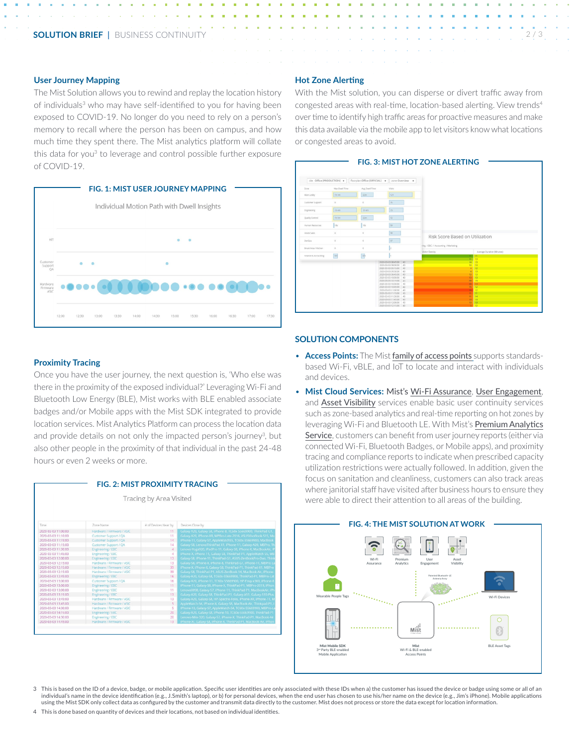## **User Journey Mapping**

The Mist Solution allows you to rewind and replay the location history of individuals<sup>3</sup> who may have self-identified to you for having been exposed to COVID-19. No longer do you need to rely on a person's memory to recall where the person has been on campus, and how much time they spent there. The Mist analytics platform will collate this data for you<sup>3</sup> to leverage and control possible further exposure of COVID-19.



## **Hot Zone Alerting**

With the Mist solution, you can disperse or divert traffic away from congested areas with real-time, location-based alerting. View trends4 over time to identify high traffic areas for proactive measures and make this data available via the mobile app to let visitors know what locations or congested areas to avoid.



## **Proximity Tracing**

Once you have the user journey, the next question is, 'Who else was there in the proximity of the exposed individual?' Leveraging Wi-Fi and Bluetooth Low Energy (BLE), Mist works with BLE enabled associate badges and/or Mobile apps with the Mist SDK integrated to provide location services. Mist Analytics Platform can process the location data and provide details on not only the impacted person's journey<sup>3</sup>, but also other people in the proximity of that individual in the past 24-48 hours or even 2 weeks or more.



## **SOLUTION COMPONENTS**

- **Access Points:** The Mist family of [access](https://www.mist.com/wireless-access-points/) points supports standardsbased Wi-Fi, vBLE, and IoT to locate and interact with individuals and devices.
- **Mist Cloud Services:** Mist's Wi-Fi [Assurance](https://www.mist.com/wi-fi-assurance/), User [Engagement](https://www.mist.com/ble-indoor-location-services/), and Asset [Visibility](https://www.mist.com/asset-visibility/) services enable basic user continuity services such as zone-based analytics and real-time reporting on hot zones by leveraging Wi-Fi and Bluetooth LE. With Mist's Premium [Analytics](https://www.mist.com/premium-analytics-service/) [Service](https://www.mist.com/premium-analytics-service/), customers can benefit from user journey reports (either via connected Wi-Fi, Bluetooth Badges, or Mobile apps), and proximity tracing and compliance reports to indicate when prescribed capacity utilization restrictions were actually followed. In addition, given the focus on sanitation and cleanliness, customers can also track areas where janitorial staff have visited after business hours to ensure they were able to direct their attention to all areas of the building.



#### 3 This is based on the ID of a device, badge, or mobile application. Specific user identities are only associated with these IDs when a) the customer has issued the device or badge using some or all of an individual's name in the device identification (e.g., J.Smith's laptop), or b) for personal devices, when the end user has chosen to use his/her name on the device (e.g., Jim's iPhone). Mobile applications using the Mist SDK only collect data as configured by the customer and transmit data directly to the customer. Mist does not process or store the data except for location information.

4 This is done based on quantity of devices and their locations, not based on individual identities.